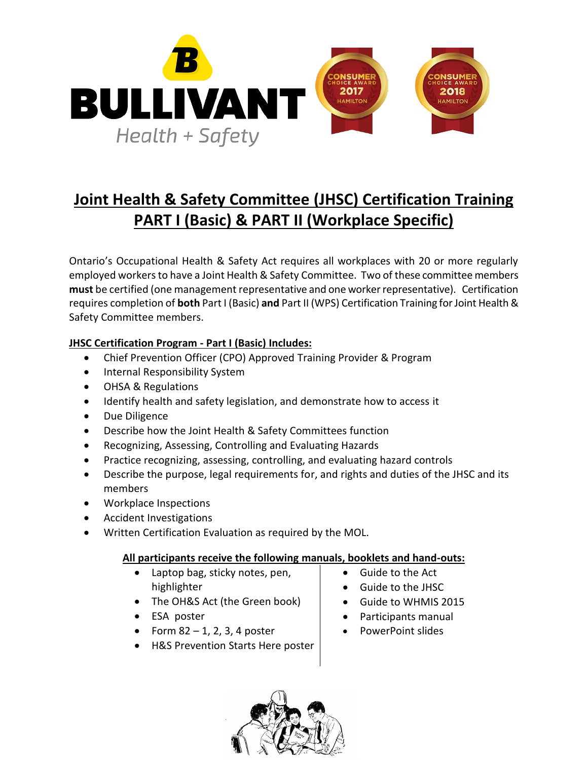

## **Joint Health & Safety Committee (JHSC) Certification Training PART I (Basic) & PART II (Workplace Specific)**

Ontario's Occupational Health & Safety Act requires all workplaces with 20 or more regularly employed workers to have a Joint Health & Safety Committee. Two of these committee members **must** be certified (one management representative and one worker representative). Certification requires completion of **both** Part I (Basic) **and** Part II (WPS) Certification Training for Joint Health & Safety Committee members.

## **JHSC Certification Program - Part I (Basic) Includes:**

- Chief Prevention Officer (CPO) Approved Training Provider & Program
- Internal Responsibility System
- OHSA & Regulations
- Identify health and safety legislation, and demonstrate how to access it
- Due Diligence
- Describe how the Joint Health & Safety Committees function
- Recognizing, Assessing, Controlling and Evaluating Hazards
- Practice recognizing, assessing, controlling, and evaluating hazard controls
- Describe the purpose, legal requirements for, and rights and duties of the JHSC and its members
- Workplace Inspections
- Accident Investigations
- Written Certification Evaluation as required by the MOL.

## **All participants receive the following manuals, booklets and hand-outs:**

- Laptop bag, sticky notes, pen, highlighter
- The OH&S Act (the Green book)
- ESA poster
- Form  $82 1$ , 2, 3, 4 poster
- H&S Prevention Starts Here poster
- Guide to the Act
- Guide to the JHSC
- Guide to WHMIS 2015
- Participants manual
- PowerPoint slides